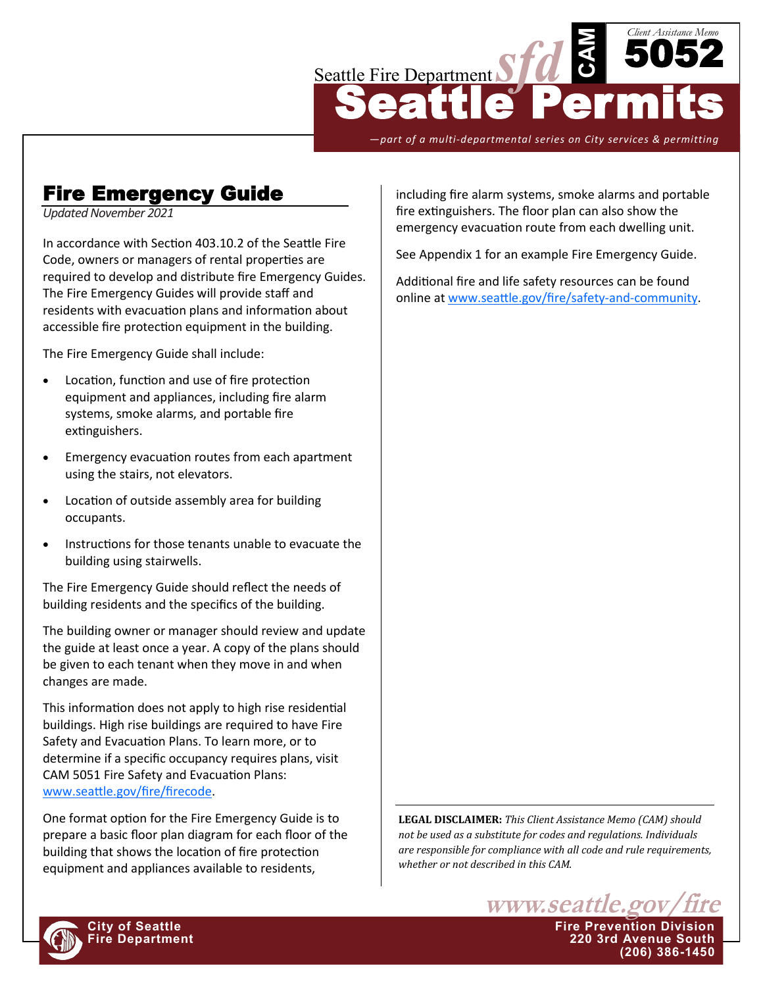

*—part of a multi-departmental series on City services & permitting*

# Fire Emergency Guide

*Updated November 2021*

In accordance with Section 403.10.2 of the Seattle Fire Code, owners or managers of rental properties are required to develop and distribute fire Emergency Guides. The Fire Emergency Guides will provide staff and residents with evacuation plans and information about accessible fire protection equipment in the building.

The Fire Emergency Guide shall include:

- Location, function and use of fire protection equipment and appliances, including fire alarm systems, smoke alarms, and portable fire extinguishers.
- Emergency evacuation routes from each apartment using the stairs, not elevators.
- Location of outside assembly area for building occupants.
- Instructions for those tenants unable to evacuate the building using stairwells.

The Fire Emergency Guide should reflect the needs of building residents and the specifics of the building.

The building owner or manager should review and update the guide at least once a year. A copy of the plans should be given to each tenant when they move in and when changes are made.

This information does not apply to high rise residential buildings. High rise buildings are required to have Fire Safety and Evacuation Plans. To learn more, or to determine if a specific occupancy requires plans, visit CAM 5051 Fire Safety and Evacuation Plans: [www.seattle.gov/fire/firecode.](http://www.seattle.gov/fire/firecode) 

One format option for the Fire Emergency Guide is to prepare a basic floor plan diagram for each floor of the building that shows the location of fire protection equipment and appliances available to residents,

including fire alarm systems, smoke alarms and portable fire extinguishers. The floor plan can also show the emergency evacuation route from each dwelling unit.

See Appendix 1 for an example Fire Emergency Guide.

Additional fire and life safety resources can be found online at [www.seattle.gov/fire/safety](http://www.seattle.gov/fire/safety-and-community)-and-community.

**LEGAL DISCLAIMER:** *This Client Assistance Memo (CAM) should not be used as a substitute for codes and regulations. Individuals are responsible for compliance with all code and rule requirements, whether or not described in this CAM.*